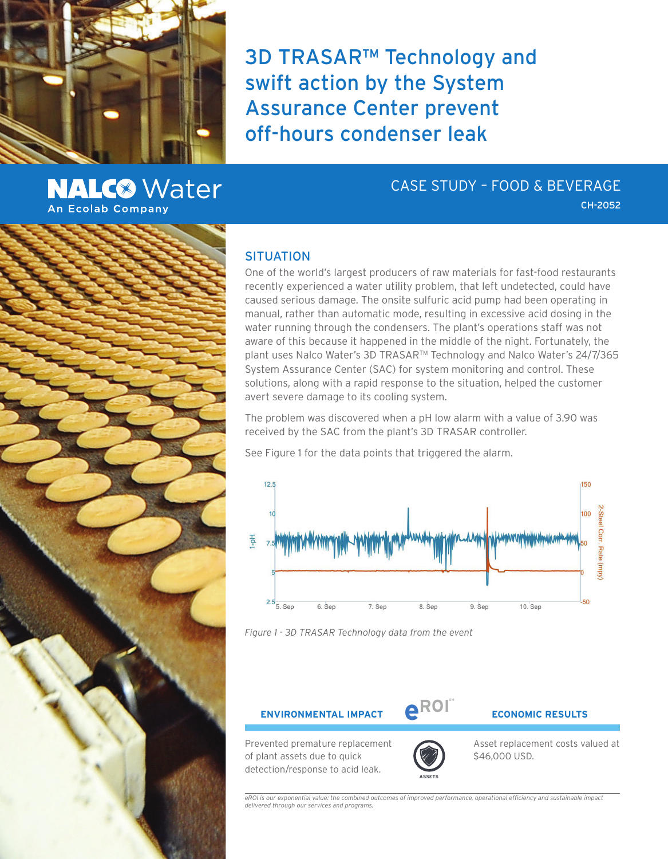

**NALC<sup>®</sup>** Water **An Ecolab Company** 

CASE STUDY – FOOD & BEVERAGE

CH-2052

# **SITUATION**

One of the world's largest producers of raw materials for fast-food restaurants recently experienced a water utility problem, that left undetected, could have caused serious damage. The onsite sulfuric acid pump had been operating in manual, rather than automatic mode, resulting in excessive acid dosing in the water running through the condensers. The plant's operations staff was not aware of this because it happened in the middle of the night. Fortunately, the plant uses Nalco Water's 3D TRASARTM Technology and Nalco Water's 24/7/365 System Assurance Center (SAC) for system monitoring and control. These solutions, along with a rapid response to the situation, helped the customer avert severe damage to its cooling system.

The problem was discovered when a pH low alarm with a value of 3.90 was received by the SAC from the plant's 3D TRASAR controller.

See Figure 1 for the data points that triggered the alarm.

3D TRASAR™ Technology and

swift action by the System

Assurance Center prevent

off-hours condenser leak



*Figure 1 - 3D TRASAR Technology data from the event*

**ENVIRONMENTAL IMPACT**  $\bigoplus_{k=1}^{n}$  **ECONOMIC RESULTS** 

**SM**

Prevented premature replacement of plant assets due to quick detection/response to acid leak.



Asset replacement costs valued at \$46,000 USD.

*eROI is our exponential value: the combined outcomes of improved performance, operational efficiency and sustainable impact delivered through our services and programs.*